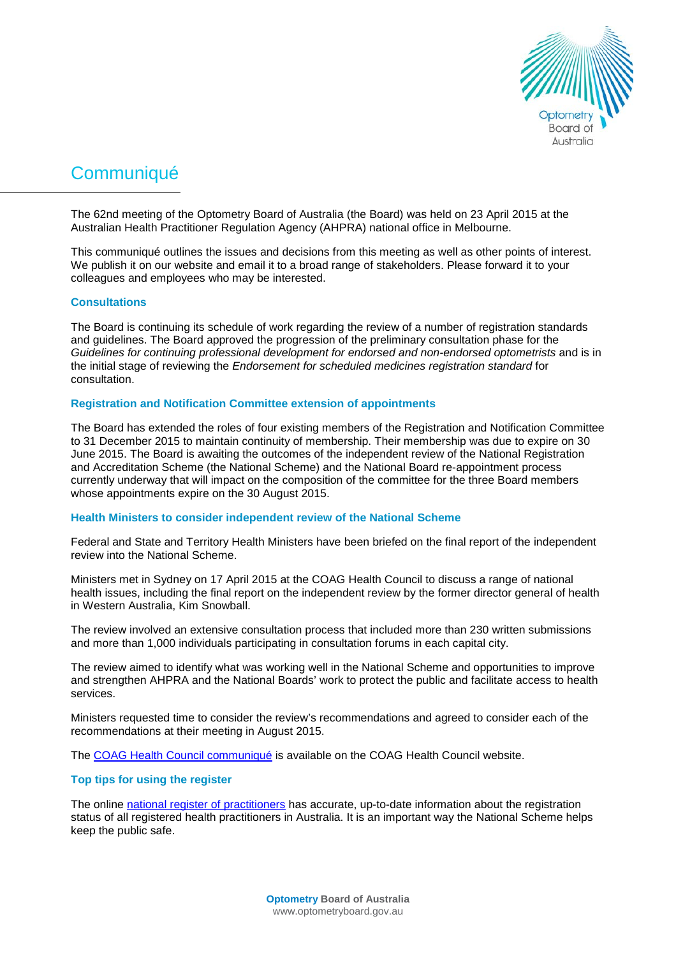

# **Communiqué**

The 62nd meeting of the Optometry Board of Australia (the Board) was held on 23 April 2015 at the Australian Health Practitioner Regulation Agency (AHPRA) national office in Melbourne.

This communiqué outlines the issues and decisions from this meeting as well as other points of interest. We publish it on our website and email it to a broad range of stakeholders. Please forward it to your colleagues and employees who may be interested.

## **Consultations**

The Board is continuing its schedule of work regarding the review of a number of registration standards and guidelines. The Board approved the progression of the preliminary consultation phase for the *Guidelines for continuing professional development for endorsed and non-endorsed optometrists* and is in the initial stage of reviewing the *Endorsement for scheduled medicines registration standard* for consultation.

## **Registration and Notification Committee extension of appointments**

The Board has extended the roles of four existing members of the Registration and Notification Committee to 31 December 2015 to maintain continuity of membership. Their membership was due to expire on 30 June 2015. The Board is awaiting the outcomes of the independent review of the National Registration and Accreditation Scheme (the National Scheme) and the National Board re-appointment process currently underway that will impact on the composition of the committee for the three Board members whose appointments expire on the 30 August 2015.

## **Health Ministers to consider independent review of the National Scheme**

Federal and State and Territory Health Ministers have been briefed on the final report of the independent review into the National Scheme.

Ministers met in Sydney on 17 April 2015 at the COAG Health Council to discuss a range of national health issues, including the final report on the independent review by the former director general of health in Western Australia, Kim Snowball.

The review involved an extensive consultation process that included more than 230 written submissions and more than 1,000 individuals participating in consultation forums in each capital city.

The review aimed to identify what was working well in the National Scheme and opportunities to improve and strengthen AHPRA and the National Boards' work to protect the public and facilitate access to health services.

Ministers requested time to consider the review's recommendations and agreed to consider each of the recommendations at their meeting in August 2015.

The [COAG Health Council communiqué](http://www.coaghealthcouncil.gov.au/Publications/Communiques/ArtMID/522/ArticleID/53/17-April-2015-COAG-Health-Council-Communique) is available on the COAG Health Council website.

## **Top tips for using the register**

The online [national register of practitioners](http://www.ahpra.gov.au/Registration/Registers-of-Practitioners.aspx) has accurate, up-to-date information about the registration status of all registered health practitioners in Australia. It is an important way the National Scheme helps keep the public safe.